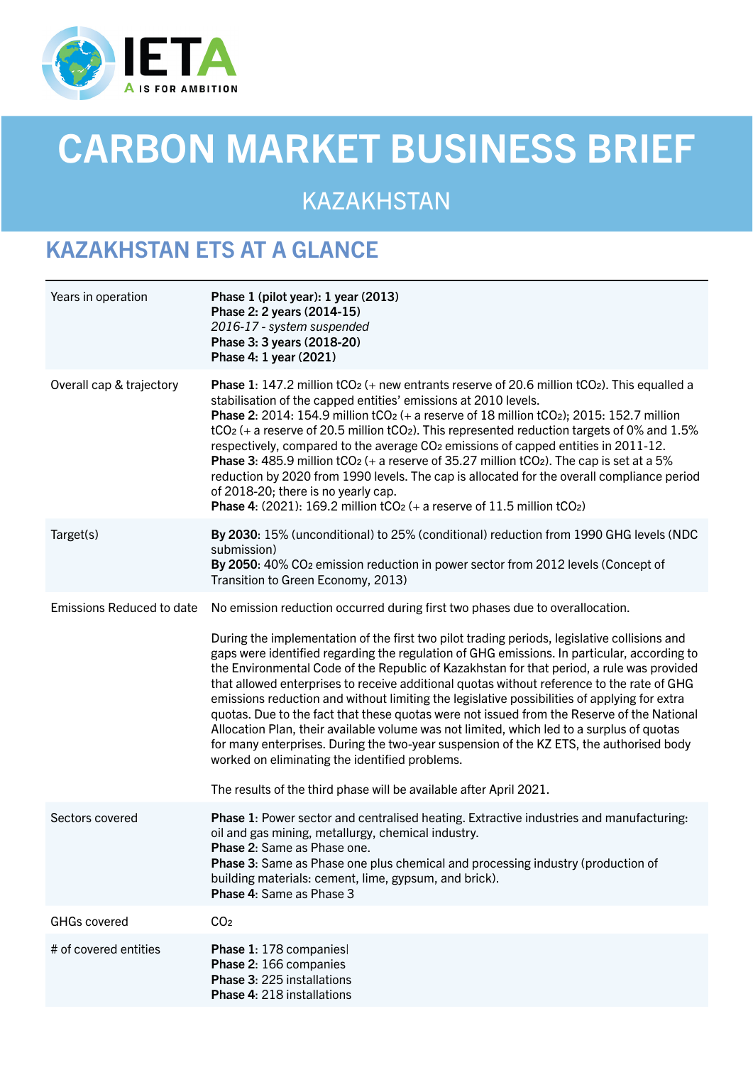

# CARBON MARKET BUSINESS BRIEF

KAZAKHSTAN

## KAZAKHSTAN ETS AT A GLANCE

| Years in operation               | Phase 1 (pilot year): 1 year (2013)<br>Phase 2: 2 years (2014-15)<br>2016-17 - system suspended<br>Phase 3: 3 years (2018-20)<br>Phase 4: 1 year (2021)                                                                                                                                                                                                                                                                                                                                                                                                                                                                                                                                                                                                                                                                                                                                                                                                                               |
|----------------------------------|---------------------------------------------------------------------------------------------------------------------------------------------------------------------------------------------------------------------------------------------------------------------------------------------------------------------------------------------------------------------------------------------------------------------------------------------------------------------------------------------------------------------------------------------------------------------------------------------------------------------------------------------------------------------------------------------------------------------------------------------------------------------------------------------------------------------------------------------------------------------------------------------------------------------------------------------------------------------------------------|
| Overall cap & trajectory         | <b>Phase 1:</b> 147.2 million tCO <sub>2</sub> (+ new entrants reserve of 20.6 million tCO <sub>2</sub> ). This equalled a<br>stabilisation of the capped entities' emissions at 2010 levels.<br><b>Phase 2:</b> 2014: 154.9 million $tCO2$ (+ a reserve of 18 million $tCO2$ ); 2015: 152.7 million<br>tCO <sub>2</sub> (+ a reserve of 20.5 million tCO <sub>2</sub> ). This represented reduction targets of 0% and 1.5%<br>respectively, compared to the average CO <sub>2</sub> emissions of capped entities in 2011-12.<br><b>Phase 3:</b> 485.9 million $tCO2$ (+ a reserve of 35.27 million $tCO2$ ). The cap is set at a 5%<br>reduction by 2020 from 1990 levels. The cap is allocated for the overall compliance period<br>of 2018-20; there is no yearly cap.<br><b>Phase 4:</b> (2021): 169.2 million $tCO2$ (+ a reserve of 11.5 million $tCO2$ )                                                                                                                       |
| Target(s)                        | By 2030: 15% (unconditional) to 25% (conditional) reduction from 1990 GHG levels (NDC<br>submission)<br>By 2050: 40% CO <sub>2</sub> emission reduction in power sector from 2012 levels (Concept of<br>Transition to Green Economy, 2013)                                                                                                                                                                                                                                                                                                                                                                                                                                                                                                                                                                                                                                                                                                                                            |
| <b>Emissions Reduced to date</b> | No emission reduction occurred during first two phases due to overallocation.<br>During the implementation of the first two pilot trading periods, legislative collisions and<br>gaps were identified regarding the regulation of GHG emissions. In particular, according to<br>the Environmental Code of the Republic of Kazakhstan for that period, a rule was provided<br>that allowed enterprises to receive additional quotas without reference to the rate of GHG<br>emissions reduction and without limiting the legislative possibilities of applying for extra<br>quotas. Due to the fact that these quotas were not issued from the Reserve of the National<br>Allocation Plan, their available volume was not limited, which led to a surplus of quotas<br>for many enterprises. During the two-year suspension of the KZ ETS, the authorised body<br>worked on eliminating the identified problems.<br>The results of the third phase will be available after April 2021. |
| Sectors covered                  | Phase 1: Power sector and centralised heating. Extractive industries and manufacturing:<br>oil and gas mining, metallurgy, chemical industry.<br>Phase 2: Same as Phase one.<br>Phase 3: Same as Phase one plus chemical and processing industry (production of<br>building materials: cement, lime, gypsum, and brick).<br>Phase 4: Same as Phase 3                                                                                                                                                                                                                                                                                                                                                                                                                                                                                                                                                                                                                                  |
| <b>GHGs covered</b>              | CO <sub>2</sub>                                                                                                                                                                                                                                                                                                                                                                                                                                                                                                                                                                                                                                                                                                                                                                                                                                                                                                                                                                       |
| # of covered entities            | Phase 1: 178 companies<br>Phase 2: 166 companies<br>Phase 3: 225 installations<br>Phase 4: 218 installations                                                                                                                                                                                                                                                                                                                                                                                                                                                                                                                                                                                                                                                                                                                                                                                                                                                                          |